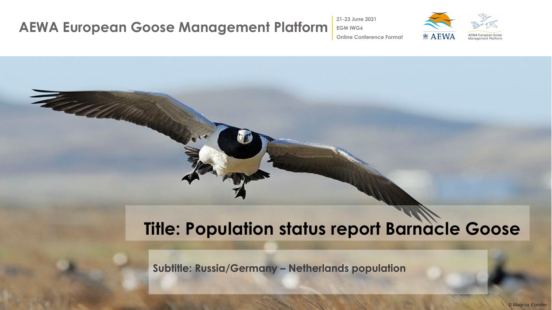### **AEWA European Goose Management Platform EGM IWG6**

The Collection

**21-23 June 2021**



**Online Conference Format**

# **Title: Population status report Barnacle Goose**

**Subtitle: Russia/Germany – Netherlands population**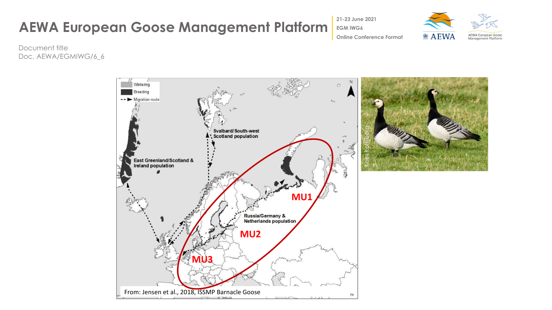**21-23 June 2021**



Document title Doc. AEWA/EGMIWG/6\_6

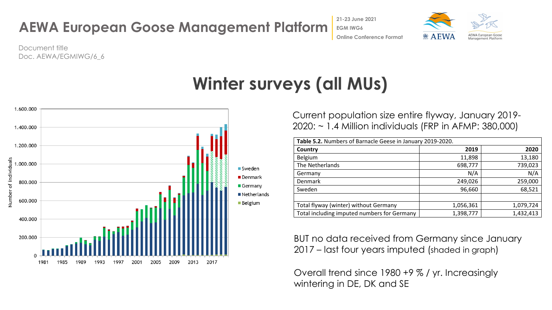



Document title Doc. AEWA/EGMIWG/6\_6

## **Winter surveys (all MUs)**



Current population size entire flyway, January 2019- 2020: ~ 1.4 Million individuals (FRP in AFMP: 380,000)

| Table 5.2. Numbers of Barnacle Geese in January 2019-2020. |           |           |  |  |
|------------------------------------------------------------|-----------|-----------|--|--|
| Country                                                    | 2019      | 2020      |  |  |
| Belgium                                                    | 11,898    | 13,180    |  |  |
| The Netherlands                                            | 698,777   | 739,023   |  |  |
| Germany                                                    | N/A       | N/A       |  |  |
| Denmark                                                    | 249,026   | 259,000   |  |  |
| Sweden                                                     | 96,660    | 68,521    |  |  |
|                                                            |           |           |  |  |
| Total flyway (winter) without Germany                      | 1,056,361 | 1,079,724 |  |  |
| Total including imputed numbers for Germany                | 1,398,777 | 1,432,413 |  |  |

BUT no data received from Germany since January 2017 – last four years imputed (shaded in graph)

Overall trend since 1980 +9 % / yr. Increasingly wintering in DE, DK and SE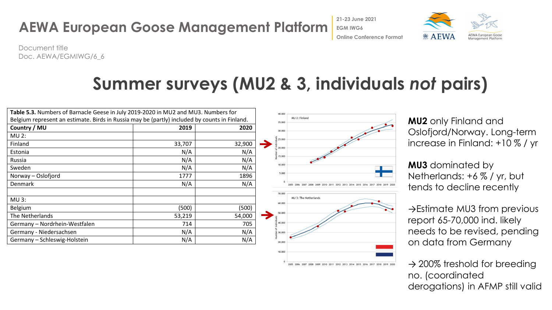

Document title Doc. AEWA/EGMIWG/6\_6

# **Summer surveys (MU2 & 3, individuals** *not* **pairs)**

| Table 5.3. Numbers of Barnacle Geese in July 2019-2020 in MU2 and MU3. Numbers for            |        |        |
|-----------------------------------------------------------------------------------------------|--------|--------|
| Belgium represent an estimate. Birds in Russia may be (partly) included by counts in Finland. |        |        |
| Country / MU                                                                                  | 2019   | 2020   |
| <b>MU 2:</b>                                                                                  |        |        |
| Finland                                                                                       | 33,707 | 32,900 |
| Estonia                                                                                       | N/A    | N/A    |
| Russia                                                                                        | N/A    | N/A    |
| Sweden                                                                                        | N/A    | N/A    |
| Norway - Oslofjord                                                                            | 1777   | 1896   |
| <b>Denmark</b>                                                                                | N/A    | N/A    |
|                                                                                               |        |        |
| $MU$ 3:                                                                                       |        |        |
| Belgium                                                                                       | (500)  | (500)  |
| The Netherlands                                                                               | 53,219 | 54,000 |
| Germany - Nordrhein-Westfalen                                                                 | 714    | 705    |
| Germany - Niedersachsen                                                                       | N/A    | N/A    |
| Germany - Schleswig-Holstein                                                                  | N/A    | N/A    |
|                                                                                               |        |        |



**MU2** only Finland and Oslofjord/Norway. Long-term increase in Finland: +10 % / yr

**MU3** dominated by Netherlands: +6 % / yr, but tends to decline recently

→Estimate MU3 from previous report 65-70,000 ind. likely needs to be revised, pending on data from Germany

 $\rightarrow$  200% treshold for breeding no. (coordinated derogations) in AFMP still valid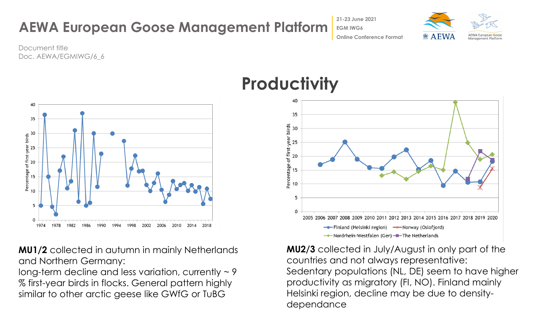

**AEWA European Goose Management Platform** Document title

**EGM IWG6**



**Online Conference Format**

**21-23 June 2021**

Doc. AEWA/EGMIWG/6\_6

**MU1/2** collected in autumn in mainly Netherlands and Northern Germany:

long-term decline and less variation, currently  $\sim$  9 % first-year birds in flocks. General pattern highly similar to other arctic geese like GWfG or TuBG



**MU2/3** collected in July/August in only part of the countries and not always representative: Sedentary populations (NL, DE) seem to have higher productivity as migratory (FI, NO). Finland mainly Helsinki region, decline may be due to densitydependance

## **Productivity**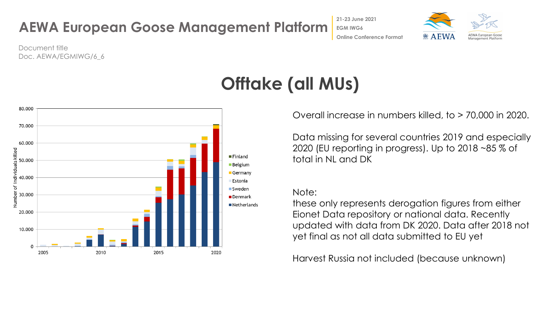### **AEWA European Goose Management Platform Online Conference Format**

**21-23 June 2021 EGM IWG6**



Document title Doc. AEWA/EGMIWG/6\_6



# **Offtake (all MUs)**

Overall increase in numbers killed, to > 70,000 in 2020.

Data missing for several countries 2019 and especially 2020 (EU reporting in progress). Up to 2018 ~85 % of total in NL and DK

### Note:

these only represents derogation figures from either Eionet Data repository or national data. Recently updated with data from DK 2020. Data after 2018 not yet final as not all data submitted to EU yet

Harvest Russia not included (because unknown)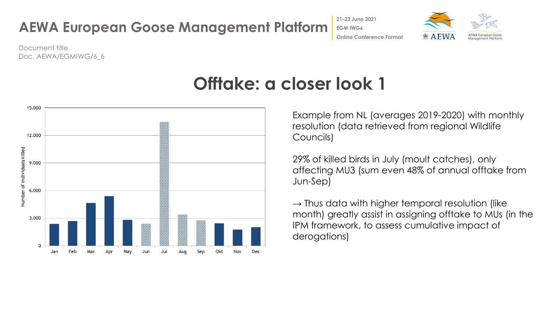

Document title Doc. AEWA/EGMIWG/6\_6



## **Offtake: a closer look 1**

Example from NL (averages 2019-2020) with monthly resolution (data retrieved from regional Wildlife Councils)

29% of killed birds in July (moult catches), only affecting MU3 (sum even 48% of annual offtake from Jun-Sep)

 $\rightarrow$  Thus data with higher temporal resolution (like month) greatly assist in assigning offtake to MUs (in the IPM framework, to assess cumulative impact of derogations)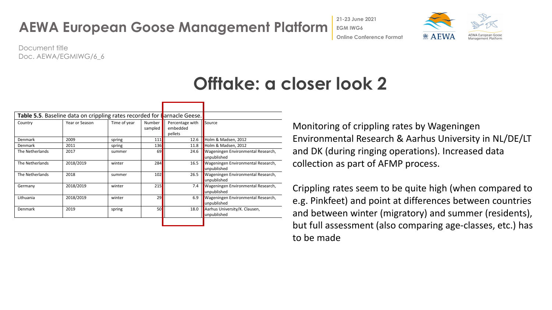**21-23 June 2021**



Document title Doc. AEWA/EGMIWG/6\_6

## **Offtake: a closer look 2**

|                 | Table 5.5. Baseline data on crippling rates recorded for tarnacle Geese. |              |                   |                                        |                                                   |
|-----------------|--------------------------------------------------------------------------|--------------|-------------------|----------------------------------------|---------------------------------------------------|
| Country         | Year or Season                                                           | Time of year | Number<br>sampled | Percentage with<br>embedded<br>pellets | Source                                            |
| Denmark         | 2009                                                                     | spring       | 111               | 12.6                                   | Holm & Madsen, 2012                               |
| Denmark         | 2011                                                                     | spring       | <b>136</b>        | 11.8                                   | Holm & Madsen, 2012                               |
| The Netherlands | 2017                                                                     | summer       | 69                | 24.6                                   | Wageningen Environmental Research,<br>unpublished |
| The Netherlands | 2018/2019                                                                | winter       | 284               | 16.5                                   | Wageningen Environmental Research,<br>unpublished |
| The Netherlands | 2018                                                                     | summer       | 102               | 26.5                                   | Wageningen Environmental Research,<br>unpublished |
| Germany         | 2018/2019                                                                | winter       | 215               | 7.4                                    | Wageningen Environmental Research,<br>unpublished |
| Lithuania       | 2018/2019                                                                | winter       | 29                | 6.9                                    | Wageningen Environmental Research,<br>unpublished |
| Denmark         | 2019                                                                     | spring       | 50                | 18.0                                   | Aarhus University/K. Clausen,<br>unpublished      |

Monitoring of crippling rates by Wageningen Environmental Research & Aarhus University in NL/DE/LT and DK (during ringing operations). Increased data collection as part of AFMP process.

Crippling rates seem to be quite high (when compared to e.g. Pinkfeet) and point at differences between countries and between winter (migratory) and summer (residents), but full assessment (also comparing age-classes, etc.) has to be made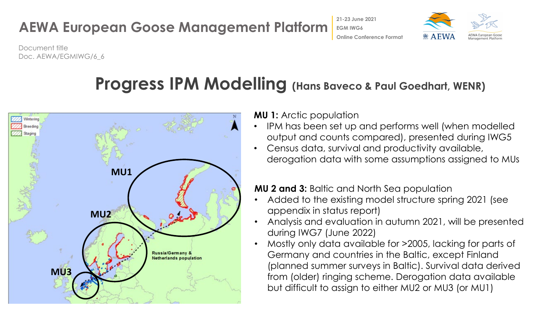## **AEWA European Goose Management Platform**



Document title Doc. AEWA/EGMIWG/6\_6

## **Progress IPM Modelling (Hans Baveco & Paul Goedhart, WENR)**



**MU 1:** Arctic population

- IPM has been set up and performs well (when modelled output and counts compared), presented during IWG5
- Census data, survival and productivity available, derogation data with some assumptions assigned to MUs

**MU 2 and 3:** Baltic and North Sea population

**21-23 June 2021 EGM IWG6**

**Online Conference Format**

- Added to the existing model structure spring 2021 (see appendix in status report)
- Analysis and evaluation in autumn 2021, will be presented during IWG7 (June 2022)
- Mostly only data available for >2005, lacking for parts of Germany and countries in the Baltic, except Finland (planned summer surveys in Baltic). Survival data derived from (older) ringing scheme. Derogation data available but difficult to assign to either MU2 or MU3 (or MU1)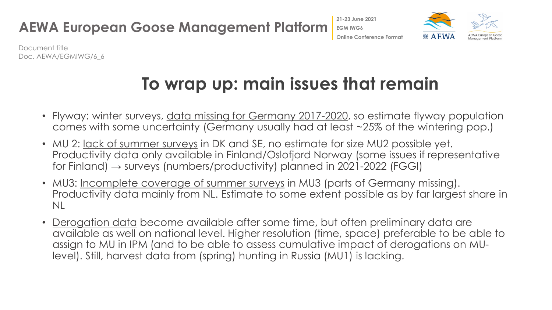

Document title Doc. AEWA/EGMIWG/6\_6

# **To wrap up: main issues that remain**

- Flyway: winter surveys, data missing for Germany 2017-2020, so estimate flyway population comes with some uncertainty (Germany usually had at least ~25% of the wintering pop.)
- MU 2: <u>lack of summer surveys</u> in DK and SE, no estimate for size MU2 possible yet. Productivity data only available in Finland/Oslofjord Norway (some issues if representative for Finland)  $\rightarrow$  surveys (numbers/productivity) planned in 2021-2022 (FGGI)
- MU3: Incomplete coverage of summer surveys in MU3 (parts of Germany missing). Productivity data mainly from NL. Estimate to some extent possible as by far largest share in NL
- Derogation data become available after some time, but often preliminary data are available as well on national level. Higher resolution (time, space) preferable to be able to assign to MU in IPM (and to be able to assess cumulative impact of derogations on MUlevel). Still, harvest data from (spring) hunting in Russia (MU1) is lacking.